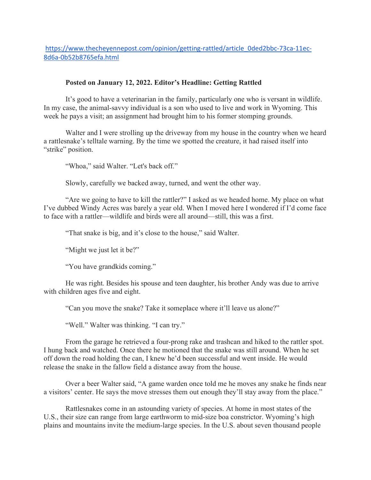https://www.thecheyennepost.com/opinion/getting-rattled/article\_0ded2bbc-73ca-11ec-8d6a-0b52b8765efa.html

## **Posted on January 12, 2022. Editor's Headline: Getting Rattled**

It's good to have a veterinarian in the family, particularly one who is versant in wildlife. In my case, the animal-savvy individual is a son who used to live and work in Wyoming. This week he pays a visit; an assignment had brought him to his former stomping grounds.

Walter and I were strolling up the driveway from my house in the country when we heard a rattlesnake's telltale warning. By the time we spotted the creature, it had raised itself into "strike" position.

"Whoa," said Walter. "Let's back off."

Slowly, carefully we backed away, turned, and went the other way.

"Are we going to have to kill the rattler?" I asked as we headed home. My place on what I've dubbed Windy Acres was barely a year old. When I moved here I wondered if I'd come face to face with a rattler—wildlife and birds were all around—still, this was a first.

"That snake is big, and it's close to the house," said Walter.

"Might we just let it be?"

"You have grandkids coming."

He was right. Besides his spouse and teen daughter, his brother Andy was due to arrive with children ages five and eight.

"Can you move the snake? Take it someplace where it'll leave us alone?"

"Well." Walter was thinking. "I can try."

From the garage he retrieved a four-prong rake and trashcan and hiked to the rattler spot. I hung back and watched. Once there he motioned that the snake was still around. When he set off down the road holding the can, I knew he'd been successful and went inside. He would release the snake in the fallow field a distance away from the house.

Over a beer Walter said, "A game warden once told me he moves any snake he finds near a visitors' center. He says the move stresses them out enough they'll stay away from the place."

Rattlesnakes come in an astounding variety of species. At home in most states of the U.S., their size can range from large earthworm to mid-size boa constrictor. Wyoming's high plains and mountains invite the medium-large species. In the U.S. about seven thousand people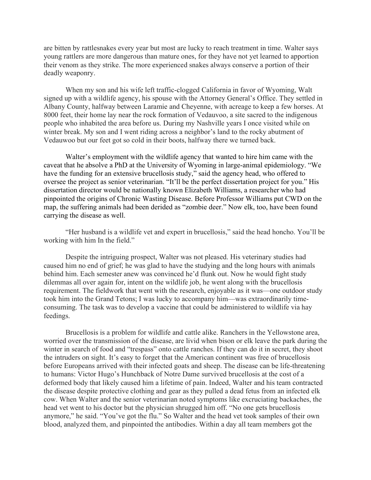are bitten by rattlesnakes every year but most are lucky to reach treatment in time. Walter says young rattlers are more dangerous than mature ones, for they have not yet learned to apportion their venom as they strike. The more experienced snakes always conserve a portion of their deadly weaponry.

When my son and his wife left traffic-clogged California in favor of Wyoming, Walt signed up with a wildlife agency, his spouse with the Attorney General's Office. They settled in Albany County, halfway between Laramie and Cheyenne, with acreage to keep a few horses. At 8000 feet, their home lay near the rock formation of Vedauvoo, a site sacred to the indigenous people who inhabited the area before us. During my Nashville years I once visited while on winter break. My son and I went riding across a neighbor's land to the rocky abutment of Vedauwoo but our feet got so cold in their boots, halfway there we turned back.

Walter's employment with the wildlife agency that wanted to hire him came with the caveat that he absolve a PhD at the University of Wyoming in large-animal epidemiology. "We have the funding for an extensive brucellosis study," said the agency head, who offered to oversee the project as senior veterinarian. "It'll be the perfect dissertation project for you." His dissertation director would be nationally known Elizabeth Williams, a researcher who had pinpointed the origins of Chronic Wasting Disease. Before Professor Williams put CWD on the map, the suffering animals had been derided as "zombie deer." Now elk, too, have been found carrying the disease as well.

"Her husband is a wildlife vet and expert in brucellosis," said the head honcho. You'll be working with him In the field."

Despite the intriguing prospect, Walter was not pleased. His veterinary studies had caused him no end of grief; he was glad to have the studying and the long hours with animals behind him. Each semester anew was convinced he'd flunk out. Now he would fight study dilemmas all over again for, intent on the wildlife job, he went along with the brucellosis requirement. The fieldwork that went with the research, enjoyable as it was—one outdoor study took him into the Grand Tetons; I was lucky to accompany him—was extraordinarily timeconsuming. The task was to develop a vaccine that could be administered to wildlife via hay feedings.

Brucellosis is a problem for wildlife and cattle alike. Ranchers in the Yellowstone area, worried over the transmission of the disease, are livid when bison or elk leave the park during the winter in search of food and "trespass" onto cattle ranches. If they can do it in secret, they shoot the intruders on sight. It's easy to forget that the American continent was free of brucellosis before Europeans arrived with their infected goats and sheep. The disease can be life-threatening to humans: Victor Hugo's Hunchback of Notre Dame survived brucellosis at the cost of a deformed body that likely caused him a lifetime of pain. Indeed, Walter and his team contracted the disease despite protective clothing and gear as they pulled a dead fetus from an infected elk cow. When Walter and the senior veterinarian noted symptoms like excruciating backaches, the head vet went to his doctor but the physician shrugged him off. "No one gets brucellosis anymore," he said. "You've got the flu." So Walter and the head vet took samples of their own blood, analyzed them, and pinpointed the antibodies. Within a day all team members got the